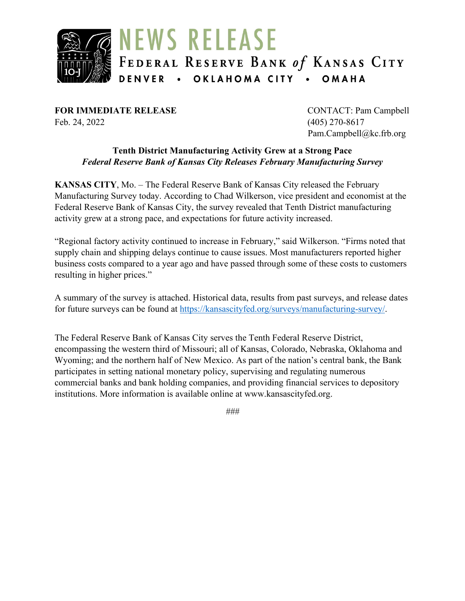

**FOR IMMEDIATE RELEASE** CONTACT: Pam Campbell Feb. 24, 2022 (405) 270-8617

Pam.Campbell@kc.frb.org

#### **Tenth District Manufacturing Activity Grew at a Strong Pace** *Federal Reserve Bank of Kansas City Releases February Manufacturing Survey*

**KANSAS CITY**, Mo. – The Federal Reserve Bank of Kansas City released the February Manufacturing Survey today. According to Chad Wilkerson, vice president and economist at the Federal Reserve Bank of Kansas City, the survey revealed that Tenth District manufacturing activity grew at a strong pace, and expectations for future activity increased.

"Regional factory activity continued to increase in February," said Wilkerson. "Firms noted that supply chain and shipping delays continue to cause issues. Most manufacturers reported higher business costs compared to a year ago and have passed through some of these costs to customers resulting in higher prices."

A summary of the survey is attached. Historical data, results from past surveys, and release dates for future surveys can be found at [https://kansascityfed.org/surveys/manufacturing-survey/.](https://kansascityfed.org/surveys/manufacturing-survey/)

The Federal Reserve Bank of Kansas City serves the Tenth Federal Reserve District, encompassing the western third of Missouri; all of Kansas, Colorado, Nebraska, Oklahoma and Wyoming; and the northern half of New Mexico. As part of the nation's central bank, the Bank participates in setting national monetary policy, supervising and regulating numerous commercial banks and bank holding companies, and providing financial services to depository institutions. More information is available online at www.kansascityfed.org.

*###*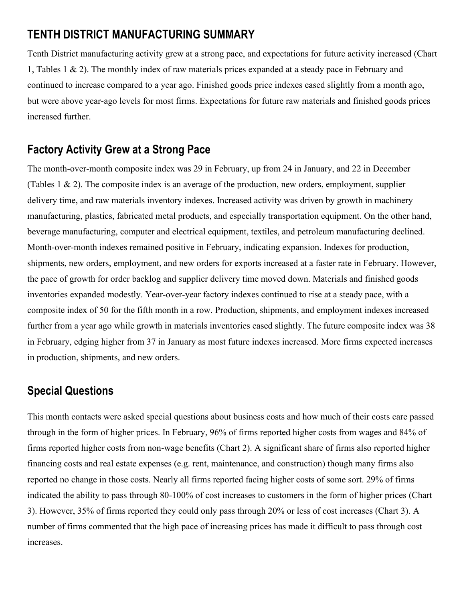# **TENTH DISTRICT MANUFACTURING SUMMARY**

Tenth District manufacturing activity grew at a strong pace, and expectations for future activity increased (Chart 1, Tables 1 & 2). The monthly index of raw materials prices expanded at a steady pace in February and continued to increase compared to a year ago. Finished goods price indexes eased slightly from a month ago, but were above year-ago levels for most firms. Expectations for future raw materials and finished goods prices increased further.

# **Factory Activity Grew at a Strong Pace**

The month-over-month composite index was 29 in February, up from 24 in January, and 22 in December (Tables 1 & 2). The composite index is an average of the production, new orders, employment, supplier delivery time, and raw materials inventory indexes. Increased activity was driven by growth in machinery manufacturing, plastics, fabricated metal products, and especially transportation equipment. On the other hand, beverage manufacturing, computer and electrical equipment, textiles, and petroleum manufacturing declined. Month-over-month indexes remained positive in February, indicating expansion. Indexes for production, shipments, new orders, employment, and new orders for exports increased at a faster rate in February. However, the pace of growth for order backlog and supplier delivery time moved down. Materials and finished goods inventories expanded modestly. Year-over-year factory indexes continued to rise at a steady pace, with a composite index of 50 for the fifth month in a row. Production, shipments, and employment indexes increased further from a year ago while growth in materials inventories eased slightly. The future composite index was 38 in February, edging higher from 37 in January as most future indexes increased. More firms expected increases in production, shipments, and new orders.

## **Special Questions**

This month contacts were asked special questions about business costs and how much of their costs care passed through in the form of higher prices. In February, 96% of firms reported higher costs from wages and 84% of firms reported higher costs from non-wage benefits (Chart 2). A significant share of firms also reported higher financing costs and real estate expenses (e.g. rent, maintenance, and construction) though many firms also reported no change in those costs. Nearly all firms reported facing higher costs of some sort. 29% of firms indicated the ability to pass through 80-100% of cost increases to customers in the form of higher prices (Chart 3). However, 35% of firms reported they could only pass through 20% or less of cost increases (Chart 3). A number of firms commented that the high pace of increasing prices has made it difficult to pass through cost increases.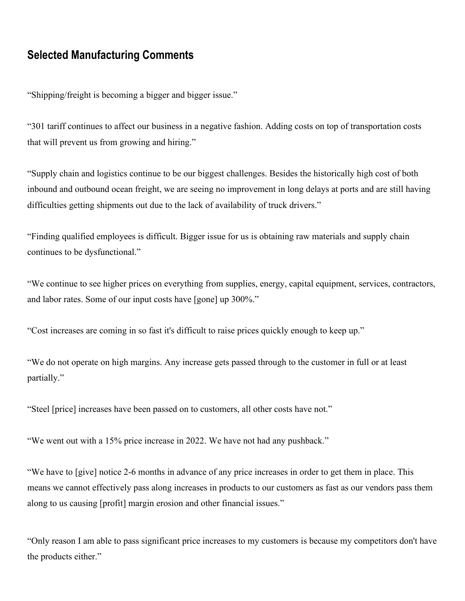## **Selected Manufacturing Comments**

"Shipping/freight is becoming a bigger and bigger issue."

"301 tariff continues to affect our business in a negative fashion. Adding costs on top of transportation costs that will prevent us from growing and hiring."

"Supply chain and logistics continue to be our biggest challenges. Besides the historically high cost of both inbound and outbound ocean freight, we are seeing no improvement in long delays at ports and are still having difficulties getting shipments out due to the lack of availability of truck drivers."

"Finding qualified employees is difficult. Bigger issue for us is obtaining raw materials and supply chain continues to be dysfunctional."

"We continue to see higher prices on everything from supplies, energy, capital equipment, services, contractors, and labor rates. Some of our input costs have [gone] up 300%."

"Cost increases are coming in so fast it's difficult to raise prices quickly enough to keep up."

"We do not operate on high margins. Any increase gets passed through to the customer in full or at least partially."

"Steel [price] increases have been passed on to customers, all other costs have not."

"We went out with a 15% price increase in 2022. We have not had any pushback."

"We have to [give] notice 2-6 months in advance of any price increases in order to get them in place. This means we cannot effectively pass along increases in products to our customers as fast as our vendors pass them along to us causing [profit] margin erosion and other financial issues."

"Only reason I am able to pass significant price increases to my customers is because my competitors don't have the products either."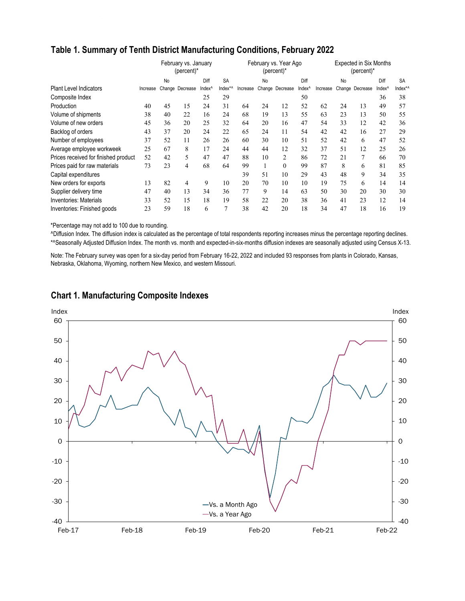|                                      |          | February vs. January<br>(percent)* |                 |                    |           |          | February vs. Year Ago<br>(percent)* |                 |                    |          | <b>Expected in Six Months</b><br>(percent)* |                 |                    |           |  |  |
|--------------------------------------|----------|------------------------------------|-----------------|--------------------|-----------|----------|-------------------------------------|-----------------|--------------------|----------|---------------------------------------------|-----------------|--------------------|-----------|--|--|
|                                      |          | No                                 |                 | Diff               | <b>SA</b> |          | <b>No</b>                           |                 | Diff               |          | No                                          |                 | Diff               | <b>SA</b> |  |  |
| <b>Plant Level Indicators</b>        | Increase |                                    | Change Decrease | Index <sup>^</sup> | Index*^   | Increase |                                     | Change Decrease | Index <sup>^</sup> | Increase |                                             | Change Decrease | Index <sup>^</sup> | Index*/   |  |  |
| Composite Index                      |          |                                    |                 | 25                 | 29        |          |                                     |                 | 50                 |          |                                             |                 | 36                 | 38        |  |  |
| Production                           | 40       | 45                                 | 15              | 24                 | 31        | 64       | 24                                  | 12              | 52                 | 62       | 24                                          | 13              | 49                 | 57        |  |  |
| Volume of shipments                  | 38       | 40                                 | 22              | 16                 | 24        | 68       | 19                                  | 13              | 55                 | 63       | 23                                          | 13              | 50                 | 55        |  |  |
| Volume of new orders                 | 45       | 36                                 | 20              | 25                 | 32        | 64       | 20                                  | 16              | 47                 | 54       | 33                                          | 12              | 42                 | 36        |  |  |
| Backlog of orders                    | 43       | 37                                 | 20              | 24                 | 22        | 65       | 24                                  | 11              | 54                 | 42       | 42                                          | 16              | 27                 | 29        |  |  |
| Number of employees                  | 37       | 52                                 | 11              | 26                 | 26        | 60       | 30                                  | 10              | 51                 | 52       | 42                                          | 6               | 47                 | 52        |  |  |
| Average employee workweek            | 25       | 67                                 | 8               | 17                 | 24        | 44       | 44                                  | 12              | 32                 | 37       | 51                                          | 12              | 25                 | 26        |  |  |
| Prices received for finished product | 52       | 42                                 | 5               | 47                 | 47        | 88       | 10                                  | 2               | 86                 | 72       | 21                                          | 7               | 66                 | 70        |  |  |
| Prices paid for raw materials        | 73       | 23                                 | 4               | 68                 | 64        | 99       |                                     | 0               | 99                 | 87       | 8                                           | 6               | 81                 | 85        |  |  |
| Capital expenditures                 |          |                                    |                 |                    |           | 39       | 51                                  | 10              | 29                 | 43       | 48                                          | 9               | 34                 | 35        |  |  |
| New orders for exports               | 13       | 82                                 | 4               | 9                  | 10        | 20       | 70                                  | 10              | 10                 | 19       | 75                                          | 6               | 14                 | 14        |  |  |
| Supplier delivery time               | 47       | 40                                 | 13              | 34                 | 36        | 77       | 9                                   | 14              | 63                 | 50       | 30                                          | 20              | 30                 | 30        |  |  |
| <b>Inventories: Materials</b>        | 33       | 52                                 | 15              | 18                 | 19        | 58       | 22                                  | 20              | 38                 | 36       | 41                                          | 23              | 12                 | 14        |  |  |
| Inventories: Finished goods          | 23       | 59                                 | 18              | 6                  | 7         | 38       | 42                                  | 20              | 18                 | 34       | 47                                          | 18              | 16                 | 19        |  |  |

### **Table 1. Summary of Tenth District Manufacturing Conditions, February 2022**

\*Percentage may not add to 100 due to rounding.

^Diffusion Index. The diffusion index is calculated as the percentage of total respondents reporting increases minus the percentage reporting declines. \*^Seasonally Adjusted Diffusion Index. The month vs. month and expected-in-six-months diffusion indexes are seasonally adjusted using Census X-13.

Note: The February survey was open for a six-day period from February 16-22, 2022 and included 93 responses from plants in Colorado, Kansas, Nebraska, Oklahoma, Wyoming, northern New Mexico, and western Missouri.



#### **Chart 1. Manufacturing Composite Indexes**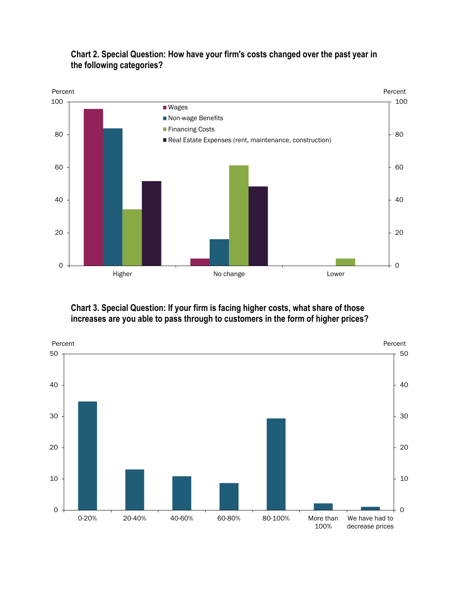

### **Chart 2. Special Question: How have your firm's costs changed over the past year in the following categories?**

### **Chart 3. Special Question: If your firm is facing higher costs, what share of those increases are you able to pass through to customers in the form of higher prices?**